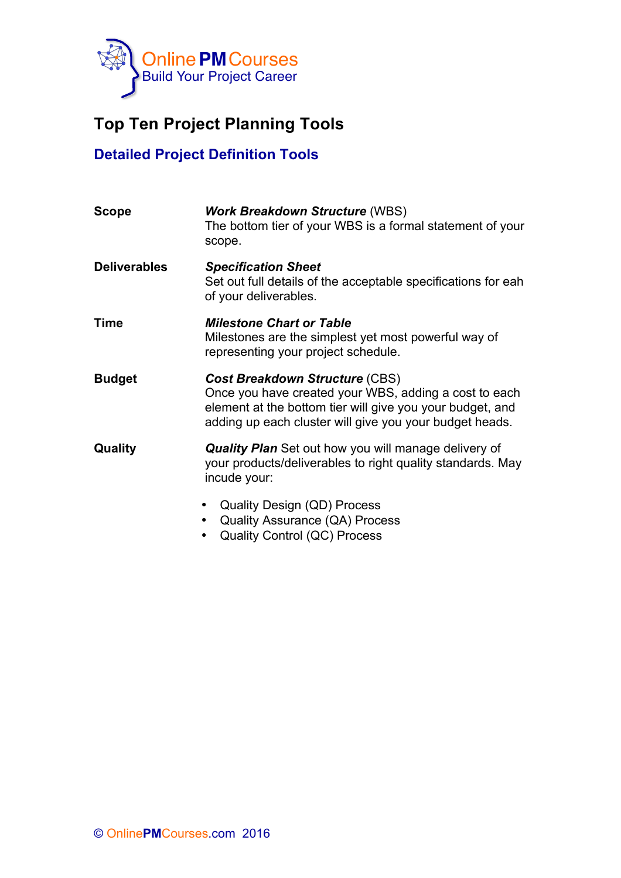

## **Top Ten Project Planning Tools**

## **Detailed Project Definition Tools**

| <b>Scope</b>        | <b>Work Breakdown Structure (WBS)</b><br>The bottom tier of your WBS is a formal statement of your<br>scope.                                                                                                           |
|---------------------|------------------------------------------------------------------------------------------------------------------------------------------------------------------------------------------------------------------------|
| <b>Deliverables</b> | <b>Specification Sheet</b><br>Set out full details of the acceptable specifications for eah<br>of your deliverables.                                                                                                   |
| Time                | <b>Milestone Chart or Table</b><br>Milestones are the simplest yet most powerful way of<br>representing your project schedule.                                                                                         |
| <b>Budget</b>       | <b>Cost Breakdown Structure (CBS)</b><br>Once you have created your WBS, adding a cost to each<br>element at the bottom tier will give you your budget, and<br>adding up each cluster will give you your budget heads. |
| Quality             | <b>Quality Plan</b> Set out how you will manage delivery of<br>your products/deliverables to right quality standards. May<br>incude your:                                                                              |
|                     | <b>Quality Design (QD) Process</b><br><b>Quality Assurance (QA) Process</b>                                                                                                                                            |

• Quality Control (QC) Process